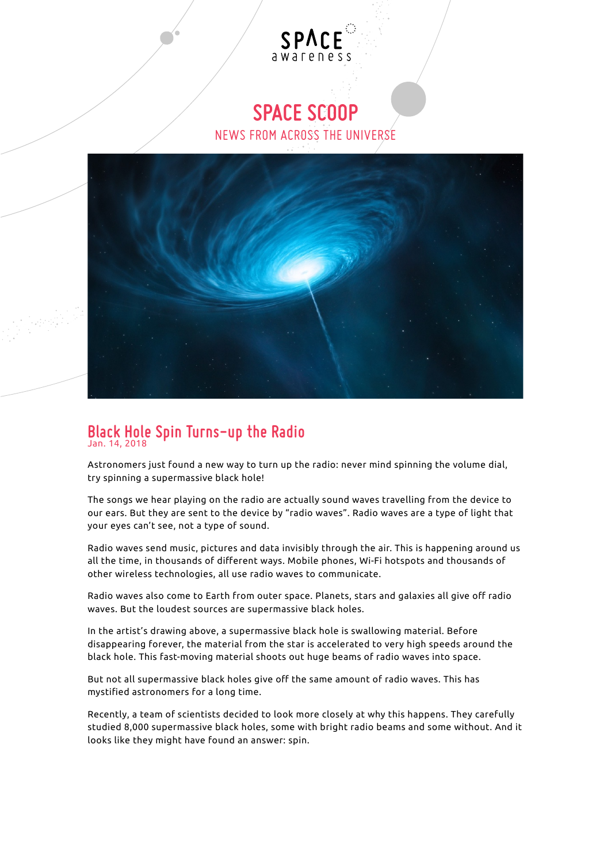## **SPACE SCOOP**

awareness

SPA

NEWS FROM ACROSS THE UNIVERSE



## **Black Hole Spin Turns-up the Radio**  Jan. 14, 2018

Astronomers just found a new way to turn up the radio: never mind spinning the volume dial, try spinning a supermassive black hole!

The songs we hear playing on the radio are actually sound waves travelling from the device to our ears. But they are sent to the device by "radio waves". Radio waves are a type of light that your eyes can't see, not a type of sound.

Radio waves send music, pictures and data invisibly through the air. This is happening around us all the time, in thousands of different ways. Mobile phones, Wi-Fi hotspots and thousands of other wireless technologies, all use radio waves to communicate.

Radio waves also come to Earth from outer space. Planets, stars and galaxies all give off radio waves. But the loudest sources are supermassive black holes.

In the artist's drawing above, a supermassive black hole is swallowing material. Before disappearing forever, the material from the star is accelerated to very high speeds around the black hole. This fast-moving material shoots out huge beams of radio waves into space.

But not all supermassive black holes give off the same amount of radio waves. This has mystified astronomers for a long time.

Recently, a team of scientists decided to look more closely at why this happens. They carefully studied 8,000 supermassive black holes, some with bright radio beams and some without. And it looks like they might have found an answer: spin.